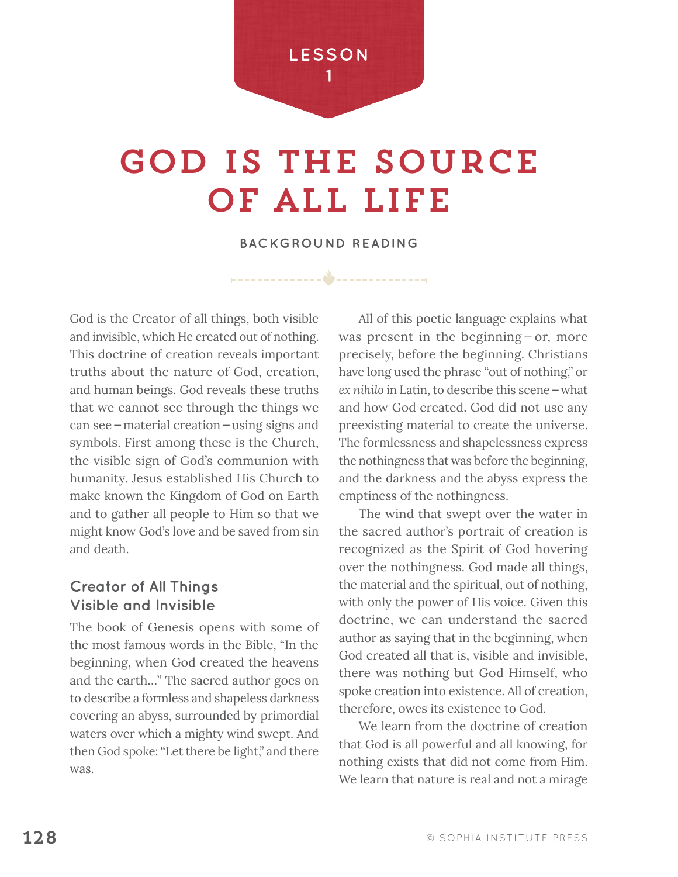

# god is the source of all Life

**BACKGROUND READING**

God is the Creator of all things, both visible and invisible, which He created out of nothing. This doctrine of creation reveals important truths about the nature of God, creation, and human beings. God reveals these truths that we cannot see through the things we can see—material creation—using signs and symbols. First among these is the Church, the visible sign of God's communion with humanity. Jesus established His Church to make known the Kingdom of God on Earth and to gather all people to Him so that we might know God's love and be saved from sin and death.

## **Creator of All Things Visible and Invisible**

The book of Genesis opens with some of the most famous words in the Bible, "In the beginning, when God created the heavens and the earth…" The sacred author goes on to describe a formless and shapeless darkness covering an abyss, surrounded by primordial waters over which a mighty wind swept. And then God spoke: "Let there be light," and there was.

All of this poetic language explains what was present in the beginning – or, more precisely, before the beginning. Christians have long used the phrase "out of nothing," or *ex nihilo* in Latin, to describe this scene—what and how God created. God did not use any preexisting material to create the universe. The formlessness and shapelessness express the nothingness that was before the beginning, and the darkness and the abyss express the emptiness of the nothingness.

The wind that swept over the water in the sacred author's portrait of creation is recognized as the Spirit of God hovering over the nothingness. God made all things, the material and the spiritual, out of nothing, with only the power of His voice. Given this doctrine, we can understand the sacred author as saying that in the beginning, when God created all that is, visible and invisible, there was nothing but God Himself, who spoke creation into existence. All of creation, therefore, owes its existence to God.

We learn from the doctrine of creation that God is all powerful and all knowing, for nothing exists that did not come from Him. We learn that nature is real and not a mirage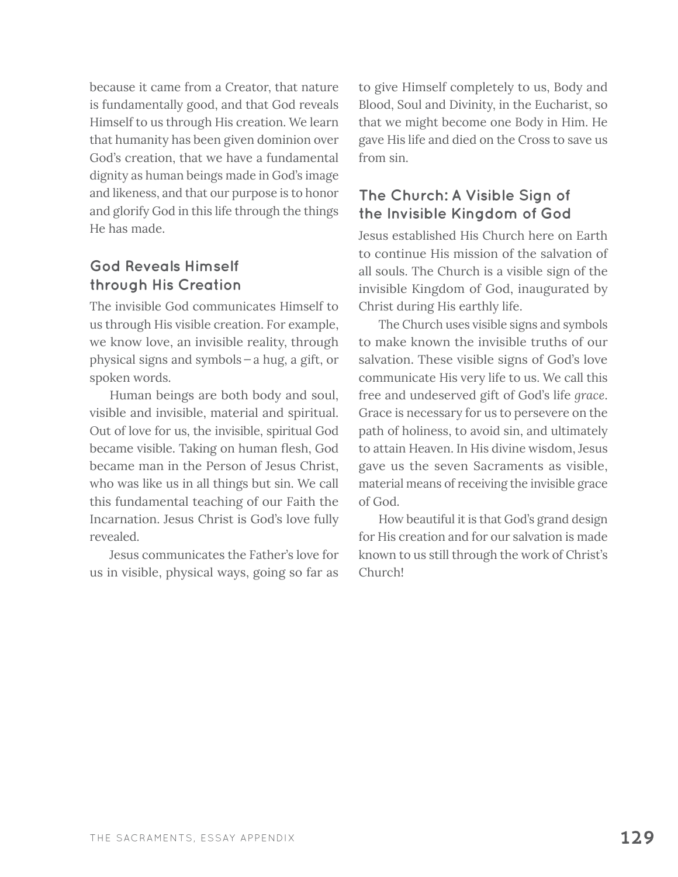because it came from a Creator, that nature is fundamentally good, and that God reveals Himself to us through His creation. We learn that humanity has been given dominion over God's creation, that we have a fundamental dignity as human beings made in God's image and likeness, and that our purpose is to honor and glorify God in this life through the things He has made.

## **God Reveals Himself through His Creation**

The invisible God communicates Himself to us through His visible creation. For example, we know love, an invisible reality, through physical signs and symbols—a hug, a gift, or spoken words.

Human beings are both body and soul, visible and invisible, material and spiritual. Out of love for us, the invisible, spiritual God became visible. Taking on human flesh, God became man in the Person of Jesus Christ, who was like us in all things but sin. We call this fundamental teaching of our Faith the Incarnation. Jesus Christ is God's love fully revealed.

Jesus communicates the Father's love for us in visible, physical ways, going so far as to give Himself completely to us, Body and Blood, Soul and Divinity, in the Eucharist, so that we might become one Body in Him. He gave His life and died on the Cross to save us from sin.

## **The Church: A Visible Sign of the Invisible Kingdom of God**

Jesus established His Church here on Earth to continue His mission of the salvation of all souls. The Church is a visible sign of the invisible Kingdom of God, inaugurated by Christ during His earthly life.

The Church uses visible signs and symbols to make known the invisible truths of our salvation. These visible signs of God's love communicate His very life to us. We call this free and undeserved gift of God's life *grace*. Grace is necessary for us to persevere on the path of holiness, to avoid sin, and ultimately to attain Heaven. In His divine wisdom, Jesus gave us the seven Sacraments as visible, material means of receiving the invisible grace of God.

How beautiful it is that God's grand design for His creation and for our salvation is made known to us still through the work of Christ's Church!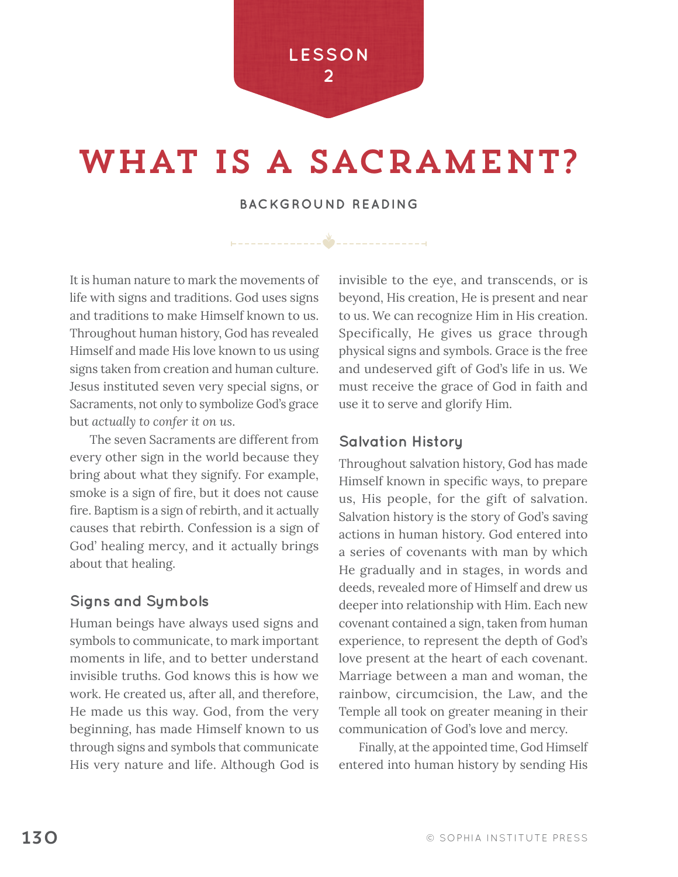

## WHAT IS A SACRAMENT?

### **BACKGROUND READING**

It is human nature to mark the movements of life with signs and traditions. God uses signs and traditions to make Himself known to us. Throughout human history, God has revealed Himself and made His love known to us using signs taken from creation and human culture. Jesus instituted seven very special signs, or Sacraments, not only to symbolize God's grace but *actually to confer it on us*.

The seven Sacraments are different from every other sign in the world because they bring about what they signify. For example, smoke is a sign of fire, but it does not cause fire. Baptism is a sign of rebirth, and it actually causes that rebirth. Confession is a sign of God' healing mercy, and it actually brings about that healing.

### **Signs and Symbols**

Human beings have always used signs and symbols to communicate, to mark important moments in life, and to better understand invisible truths. God knows this is how we work. He created us, after all, and therefore, He made us this way. God, from the very beginning, has made Himself known to us through signs and symbols that communicate His very nature and life. Although God is invisible to the eye, and transcends, or is beyond, His creation, He is present and near to us. We can recognize Him in His creation. Specifically, He gives us grace through physical signs and symbols. Grace is the free and undeserved gift of God's life in us. We must receive the grace of God in faith and use it to serve and glorify Him.

### **Salvation History**

Throughout salvation history, God has made Himself known in specific ways, to prepare us, His people, for the gift of salvation. Salvation history is the story of God's saving actions in human history. God entered into a series of covenants with man by which He gradually and in stages, in words and deeds, revealed more of Himself and drew us deeper into relationship with Him. Each new covenant contained a sign, taken from human experience, to represent the depth of God's love present at the heart of each covenant. Marriage between a man and woman, the rainbow, circumcision, the Law, and the Temple all took on greater meaning in their communication of God's love and mercy.

Finally, at the appointed time, God Himself entered into human history by sending His